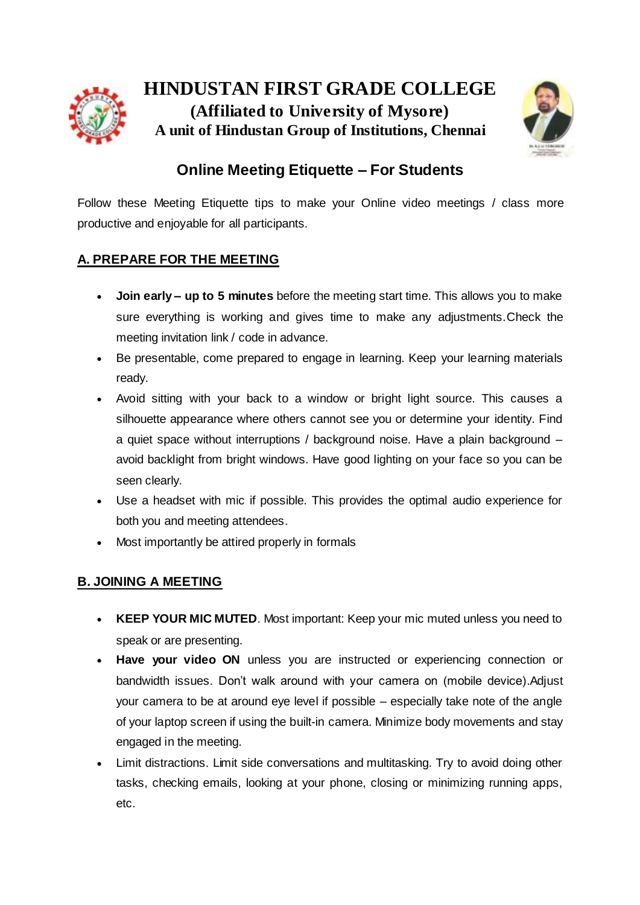

**HINDUSTAN FIRST GRADE COLLEGE (Affiliated to University of Mysore) A unit of Hindustan Group of Institutions, Chennai**



# **Online Meeting Etiquette – For Students**

Follow these Meeting Etiquette tips to make your Online video meetings / class more productive and enjoyable for all participants.

## **A. PREPARE FOR THE MEETING**

- **Join early – up to 5 minutes** before the meeting start time. This allows you to make sure everything is working and gives time to make any adjustments.Check the meeting invitation link / code in advance.
- Be presentable, come prepared to engage in learning. Keep your learning materials ready.
- Avoid sitting with your back to a window or bright light source. This causes a silhouette appearance where others cannot see you or determine your identity. Find a quiet space without interruptions / background noise. Have a plain background – avoid backlight from bright windows. Have good lighting on your face so you can be seen clearly.
- Use a headset with mic if possible. This provides the optimal audio experience for both you and meeting attendees.
- Most importantly be attired properly in formals

### **B. JOINING A MEETING**

- **KEEP YOUR MIC MUTED**. Most important: Keep your mic muted unless you need to speak or are presenting.
- **Have your video ON** unless you are instructed or experiencing connection or bandwidth issues. Don't walk around with your camera on (mobile device).Adjust your camera to be at around eye level if possible – especially take note of the angle of your laptop screen if using the built-in camera. Minimize body movements and stay engaged in the meeting.
- Limit distractions. Limit side conversations and multitasking. Try to avoid doing other tasks, checking emails, looking at your phone, closing or minimizing running apps, etc.